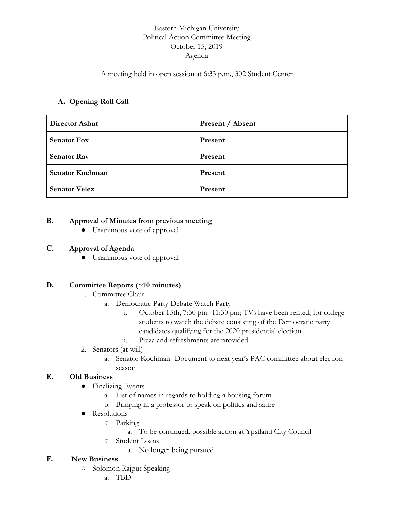## Eastern Michigan University Political Action Committee Meeting October 15, 2019 Agenda

#### A meeting held in open session at 6:33 p.m., 302 Student Center

## **A. Opening Roll Call**

| Director Ashur       | Present / Absent |
|----------------------|------------------|
| <b>Senator Fox</b>   | Present          |
| <b>Senator Ray</b>   | Present          |
| Senator Kochman      | Present          |
| <b>Senator Velez</b> | Present          |

## **B. Approval of Minutes from previous meeting**

● Unanimous vote of approval

#### **C. Approval of Agenda**

● Unanimous vote of approval

#### **D. Committee Reports (~10 minutes)**

- 1. Committee Chair
	- a. Democratic Party Debate Watch Party
		- i. October 15th, 7:30 pm- 11:30 pm; TVs have been rented, for college students to watch the debate consisting of the Democratic party candidates qualifying for the 2020 presidential election
		- ii. Pizza and refreshments are provided
- 2. Senators (at-will)
	- a. Senator Kochman- Document to next year's PAC committee about election season

#### **E. Old Business**

- Finalizing Events
	- a. List of names in regards to holding a housing forum
	- b. Bringing in a professor to speak on politics and satire
- Resolutions
	- Parking
		- a. To be continued, possible action at Ypsilanti City Council
	- Student Loans
		- a. No longer being pursued

#### **F. New Business**

- **○** Solomon Rajput Speaking
	- a. TBD